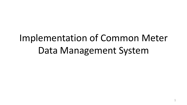## Implementation of Common Meter Data Management System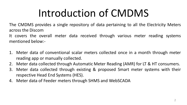## Introduction of CMDMS

The CMDMS provides a single repository of data pertaining to all the Electricity Meters across the Discom

It covers the overall meter data received through various meter reading systems mentioned below:-

- 1. Meter data of conventional scalar meters collected once in a month through meter reading app or manually collected.
- 2. Meter data collected through Automatic Meter Reading (AMR) for LT & HT consumers.
- 3. Meter data collected through existing & proposed Smart meter systems with their respective Head End Systems (HES).
- 4. Meter data of Feeder meters through SHMS and WebSCADA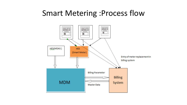#### Smart Metering :Process flow

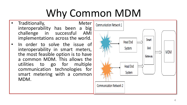## Why Common MDM

- Traditionally, Meter interoperability has been a big<br>challenge in successful AMI challenge in successful implementations across the world.
- In order to solve the issue of interoperability in smart meters, the most feasible option is to have a common MDM. This allows the utilities to go for multiple communication technologies for smart metering with a common MDM.

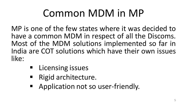## Common MDM in MP

MP is one of the few states where it was decided to have a common MDM in respect of all the Discoms. Most of the MDM solutions implemented so far in India are COT solutions which have their own issues like:

- **E** Licensing issues
- Rigid architecture.
- **Application not so user-friendly.**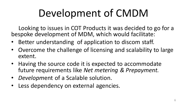## Development of CMDM

Looking to issues in COT Products it was decided to go for a bespoke development of MDM, which would facilitate:

- Better understanding of application to discom staff.
- Overcome the challenge of licensing and scalability to large extent.
- Having the source code it is expected to accommodate future requirements like *Net metering & Prepayment.*
- *Developm*ent of a Scalable solution.
- Less dependency on external agencies.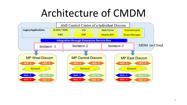### Architecture of CMDM

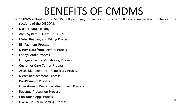### BENEFITS OF CMDMS

The CMDMS rollout in the MPWZ will positively impact various systems & processes related to the various sections of the DISCOM:-

- Master data exchange
- AMR System: HT AMR & LT AMR
- Meter Reading and Billing Process
- Bill Payment Process
- Meter Data from Feeders Process
- Energy Audit Process
- Outage Failure Monitoring Process
- Customer Care Center Process
- Asset Management Repository Process
- Meter Replacement Process
- Pre-Payment Process
- Operations Disconnect/Reconnect Process
- Revenue Protection Process
- Consumer Apps Process
- Overall MIS & Reporting Process <sup>8</sup>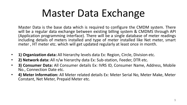## Master Data Exchange

Master Data is the base data which is required to configure the CMDM system. There will be a regular data exchange between existing billing system & CMDMS through API (Application programming interface). There will be a single database of meter readings including details of meters installed and type of meter installed like Net meter, smart meter , HT meter etc. which will get updated regularly at least once in month.

- **1) Organization data:** All hierarchy levels data Ex: Region, Circle, Division etc.
- **2) Network data:** All n/w hierarchy data Ex: Sub-station, Feeder, DTR etc.
- **3) Consumer Data:** All Consumer details Ex: IVRS ID, Consumer Name, Address, Mobile No., Connection Date etc.
- **4) Meter Information:** All Meter related details Ex: Meter Serial No, Meter Make, Meter Constant, Net Meter, Prepaid Meter etc.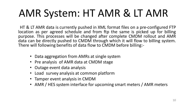## AMR System: HT AMR & LT AMR

HT & LT AMR data is currently pushed in XML format files on a pre-configured FTP location as per agreed schedule and from ftp the same is picked up for billing purpose. This processes will be changed after complete CMDM rollout and AMR data can be directly pushed to CMDM through which it will flow to billing system. There will following benefits of data flow to CMDM before billing:-

- Data aggregation from AMRs at single system
- Pre analysis of AMR data at CMDM stage
- Outage event data analysis
- Load survey analysis at common platform
- Tamper event analysis in CMDM
- AMR / HES system interface for upcoming smart meters / AMR meters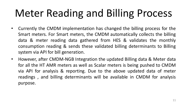# Meter Reading and Billing Process

- Currently the CMDM implementation has changed the billing process for the Smart meters. For Smart meters, the CMDM automatically collects the billing data & meter reading data gathered from HES & validates the monthly consumption reading & sends these validated billing determinants to Billing system via API for bill generation.
- However, after CMDM-NGB Integration the updated Billing data & Meter data for all the HT AMR meters as well as Scalar meters is being pushed to CMDM via API for analysis & reporting. Due to the above updated data of meter readings , and billing determinants will be available in CMDM for analysis purpose.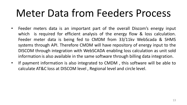### Meter Data from Feeders Process

- Feeder meters data is an important part of the overall Discom's energy input which is required for efficient analysis of the energy flow & loss calculation. Feeder meter data is being fed to CMDM from 33/11kv WebScada & SHMS systems through API. Therefore CMDM will have repository of energy input to the DISCOM through integration with WebSCADA enabling loss calculation as unit sold information is also available in the same software through billing data integration.
- If payment information is also integrated to CMDM , this software will be able to calculate AT&C loss at DISCOM level , Regional level and circle level.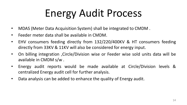# Energy Audit Process

- MDAS (Meter Data Acquisition System) shall be integrated to CMDM .
- Feeder meter data shall be available in CMDM.
- EHV consumers feeding directly from 132/220/400KV & HT consumers feeding directly from 33KV & 11KV will also be considered for energy input.
- On billing integration ,Circle/Division wise or Feeder wise sold units data will be available in CMDM s/w .
- Energy audit reports would be made available at Circle/Division levels & centralized Energy audit cell for further analysis.
- Data analysis can be added to enhance the quality of Energy audit.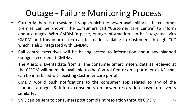#### Outage - Failure Monitoring Process

- Currently there is no system through which the power availability at the customer premise can be known. The consumers call "Customer care centre" to inform about outages. With CMDM in place, outage information can be integrated with CMDM and this information can be made available to Customers through CCC which is also integrated with CMDM.
- Call centre executives will be having access to information about any planned outages recorded at CMDM.
- The Alerts & Events data from all the consumer Smart meters data as received at the CMDM will be made available to the Control Centre on a portal or as API that can be interfaced with existing Customer care portal.
- CMDM would push notifications to the consumer app related to any of the planned outages & inform consumers on power restoration based on events similarly .
- SMS can be sent to consumers post complaint resolution through CMDM.  $\blacksquare$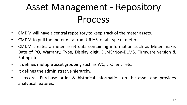#### Asset Management - Repository Process

- CMDM will have a central repository to keep track of the meter assets.
- CMDM to pull the meter data from URJAS for all type of meters.
- CMDM creates a meter asset data containing information such as Meter make, Date of PO, Warranty, Type, Display digit, DLMS/Non-DLMS, Firmware version & Rating etc.
- It defines multiple asset grouping such as WC, LTCT & LT etc.
- It defines the administrative hierarchy.
- It records Purchase order & historical information on the asset and provides analytical features.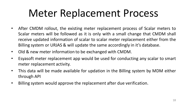## Meter Replacement Process

- After CMDM rollout, the existing meter replacement process of Scalar meters to Scalar meters will be followed as it is only with a small change that CMDM shall receive updated information of scalar to scalar meter replacement either from the Billing system or URJAS & will update the same accordingly in it's database.
- Old & new meter information to be exchanged with CMDM.
- Esyasoft meter replacement app would be used for conducting any scalar to smart meter replacement activity.
- This data will be made available for updation in the Billing system by MDM either through API
- Billing system would approve the replacement after due verification.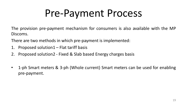## Pre-Payment Process

The provision pre-payment mechanism for consumers is also available with the MP Discoms.

There are two methods in which pre-payment is implemented:

- 1. Proposed solution1 Flat tariff basis
- 2. Proposed solution2 Fixed & Slab based Energy charges basis
- 1-ph Smart meters & 3-ph (Whole current) Smart meters can be used for enabling pre-payment.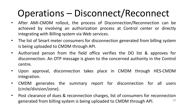#### Operations – Disconnect/Reconnect

- After AMI-CMDM rollout, the process of Disconnection/Reconnection can be achieved by involving an authorization process at Control center or directly integrating with Billing system via Web services.
- The list of Smart meter consumers for disconnection generated from billing system is being uploaded to CMDM through API.
- Authorized person from the field office verifies the DO list & approves for disconnection. An OTP message is given to the concerned authority in the Control centre.
- Upon approval, disconnection takes place in CMDM through HES-CMDM integration.
- CMDM generates the summary report for disconnection for all users (circle/division/zone).
- Post clearance of dues & reconnection charges, list of consumers for reconnection generated from billing system is being uploaded to CMDM through API. 20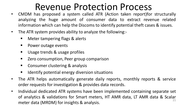#### Revenue Protection Process

- CMDM has proposed a system called ATR (Action taken report)for structurally analyzing the huge amount of consumer data to extract revenue related information which can help the Discoms to identify potential theft cases & issues.
- The ATR system provides ability to analyze the following:-
	- Meter tampering flags & alerts
	- **Power outage events**
	- Usage trends & usage profiles
	- **EXECT** Zero consumption, Peer group comparison
	- **Consumer clustering & analysis**
	- **If all identify potential energy diversion situations**
- The ATR helps automatically generate daily reports, monthly reports & service order requests for investigation & provides data records.
- Individual dedicated ATR systems have been implemented containing separate set of analytics & validations for Smart meters, HT AMR data, LT AMR data & Scalar meter data (MRDM) for insights & analysis. 21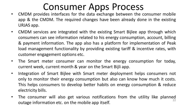#### Consumer Apps Process

- CMDM provides interfaces for the data exchange between the consumer mobile app & the CMDM. The required changes have been already done in the existing URJAS app.
- CMDM services are integrated with the existing Smart Bijlee app through which consumers can see information related to his energy consumption, account, billing & payment information. The app also has a platform for implementation of Peak load management functionality by providing existing tariff & incentive rates, with customer engagement options etc.
- The Smart meter consumer can monitor the energy consumption for today, current week, current month & year on the Smart Bijli app.
- Integration of Smart Bijlee with Smart meter deployment helps consumers not only to monitor their energy consumption but also can know how much it costs. This helps consumers to develop better habits on energy consumption & reduce electricity bills.
- The consumer will also get various notifications from the utility like planned outage information etc. on the mobile app itself. 22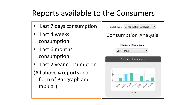#### Reports available to the Consumers

- Last 7 days consumption
- Last 4 weeks consumption
- Last 6 months consumption
- Last 2 year consumption (All above 4 reports in a form of Bar graph and tabular)

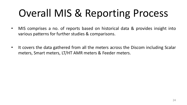# Overall MIS & Reporting Process

- MIS comprises a no. of reports based on historical data & provides insight into various patterns for further studies & comparisons.
- It covers the data gathered from all the meters across the Discom including Scalar meters, Smart meters, LT/HT AMR meters & Feeder meters.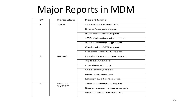#### Major Reports in MDM

| S#           | <b>Particulars</b>              | <b>Report Name</b>               |
|--------------|---------------------------------|----------------------------------|
| 1            | <b>AMR</b>                      | Consumption analysis             |
|              |                                 | Event Analysis report            |
|              |                                 | ATR Event wise report            |
|              |                                 | ATR Validation wise report       |
|              |                                 | ATR summary vigilance            |
|              |                                 | Circle wise ATR report           |
|              |                                 | Division wise ATR report         |
| $\mathbf{z}$ | <b>MDAS</b>                     | <b>Hourly Consumption report</b> |
|              |                                 | Ag load Analysis                 |
|              |                                 | Live data -hourly                |
|              |                                 | Load survey report               |
|              |                                 | Peak load analysis               |
|              |                                 | Energy audit circle wise         |
| з            | <b>Billing</b><br><b>System</b> | Zero consumption report          |
|              |                                 | Scalar consumption analysis      |
|              |                                 | Scalar validation analysis       |